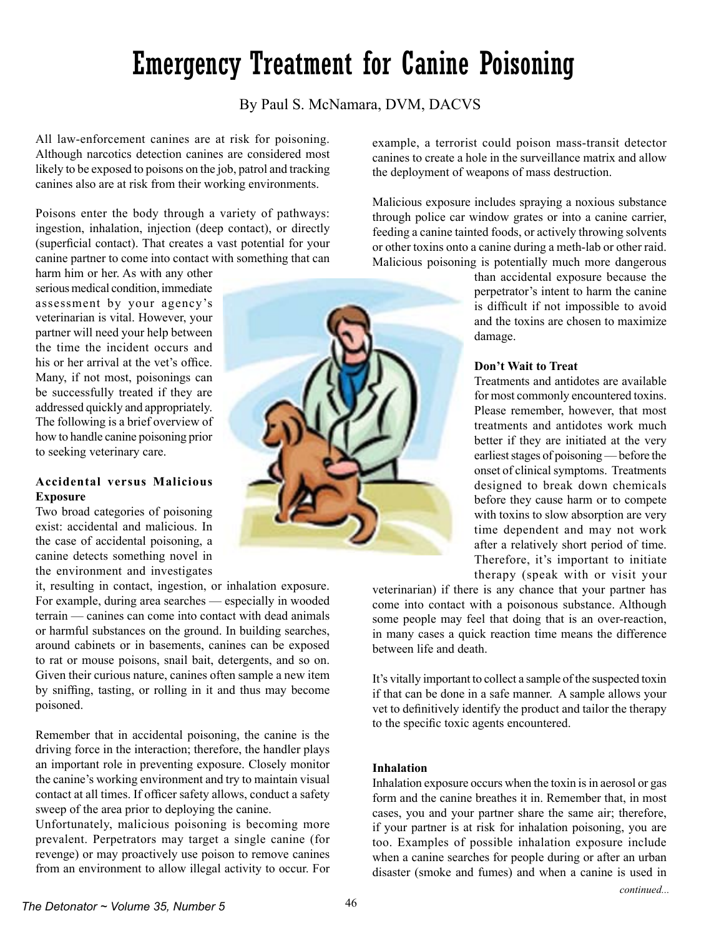# *The Detonator ~ Volume 35, Number 5*  $46$

# Emergency Treatment for Canine Poisoning

By Paul S. McNamara, DVM, DACVS

All law-enforcement canines are at risk for poisoning. Although narcotics detection canines are considered most likely to be exposed to poisons on the job, patrol and tracking canines also are at risk from their working environments.

Poisons enter the body through a variety of pathways: ingestion, inhalation, injection (deep contact), or directly (superficial contact). That creates a vast potential for your canine partner to come into contact with something that can

harm him or her. As with any other serious medical condition, immediate assessment by your agency's veterinarian is vital. However, your partner will need your help between the time the incident occurs and his or her arrival at the vet's office. Many, if not most, poisonings can be successfully treated if they are addressed quickly and appropriately. The following is a brief overview of how to handle canine poisoning prior to seeking veterinary care.

## **Accidental versus Malicious Exposure**

Two broad categories of poisoning exist: accidental and malicious. In the case of accidental poisoning, a canine detects something novel in the environment and investigates

it, resulting in contact, ingestion, or inhalation exposure. For example, during area searches — especially in wooded terrain — canines can come into contact with dead animals or harmful substances on the ground. In building searches, around cabinets or in basements, canines can be exposed to rat or mouse poisons, snail bait, detergents, and so on. Given their curious nature, canines often sample a new item by sniffing, tasting, or rolling in it and thus may become poisoned.

Remember that in accidental poisoning, the canine is the driving force in the interaction; therefore, the handler plays an important role in preventing exposure. Closely monitor the canine's working environment and try to maintain visual contact at all times. If officer safety allows, conduct a safety sweep of the area prior to deploying the canine.

Unfortunately, malicious poisoning is becoming more prevalent. Perpetrators may target a single canine (for revenge) or may proactively use poison to remove canines from an environment to allow illegal activity to occur. For example, a terrorist could poison mass-transit detector canines to create a hole in the surveillance matrix and allow the deployment of weapons of mass destruction.

Malicious exposure includes spraying a noxious substance through police car window grates or into a canine carrier, feeding a canine tainted foods, or actively throwing solvents or other toxins onto a canine during a meth-lab or other raid. Malicious poisoning is potentially much more dangerous

> than accidental exposure because the perpetrator's intent to harm the canine is difficult if not impossible to avoid and the toxins are chosen to maximize damage.

#### **Don't Wait to Treat**

Treatments and antidotes are available for most commonly encountered toxins. Please remember, however, that most treatments and antidotes work much better if they are initiated at the very earliest stages of poisoning — before the onset of clinical symptoms. Treatments designed to break down chemicals before they cause harm or to compete with toxins to slow absorption are very time dependent and may not work after a relatively short period of time. Therefore, it's important to initiate therapy (speak with or visit your

veterinarian) if there is any chance that your partner has come into contact with a poisonous substance. Although some people may feel that doing that is an over-reaction, in many cases a quick reaction time means the difference between life and death.

It's vitally important to collect a sample of the suspected toxin if that can be done in a safe manner. A sample allows your vet to definitively identify the product and tailor the therapy to the specific toxic agents encountered.

#### **Inhalation**

Inhalation exposure occurs when the toxin is in aerosol or gas form and the canine breathes it in. Remember that, in most cases, you and your partner share the same air; therefore, if your partner is at risk for inhalation poisoning, you are too. Examples of possible inhalation exposure include when a canine searches for people during or after an urban disaster (smoke and fumes) and when a canine is used in